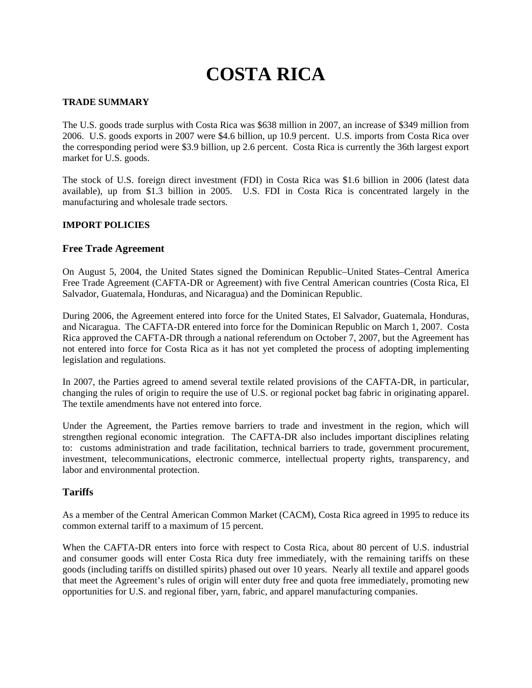# **COSTA RICA**

### **TRADE SUMMARY**

The U.S. goods trade surplus with Costa Rica was \$638 million in 2007, an increase of \$349 million from 2006. U.S. goods exports in 2007 were \$4.6 billion, up 10.9 percent. U.S. imports from Costa Rica over the corresponding period were \$3.9 billion, up 2.6 percent. Costa Rica is currently the 36th largest export market for U.S. goods.

The stock of U.S. foreign direct investment (FDI) in Costa Rica was \$1.6 billion in 2006 (latest data available), up from \$1.3 billion in 2005. U.S. FDI in Costa Rica is concentrated largely in the manufacturing and wholesale trade sectors.

# **IMPORT POLICIES**

# **Free Trade Agreement**

On August 5, 2004, the United States signed the Dominican Republic–United States–Central America Free Trade Agreement (CAFTA-DR or Agreement) with five Central American countries (Costa Rica, El Salvador, Guatemala, Honduras, and Nicaragua) and the Dominican Republic.

During 2006, the Agreement entered into force for the United States, El Salvador, Guatemala, Honduras, and Nicaragua. The CAFTA-DR entered into force for the Dominican Republic on March 1, 2007. Costa Rica approved the CAFTA-DR through a national referendum on October 7, 2007, but the Agreement has not entered into force for Costa Rica as it has not yet completed the process of adopting implementing legislation and regulations.

In 2007, the Parties agreed to amend several textile related provisions of the CAFTA-DR, in particular, changing the rules of origin to require the use of U.S. or regional pocket bag fabric in originating apparel. The textile amendments have not entered into force.

Under the Agreement, the Parties remove barriers to trade and investment in the region, which will strengthen regional economic integration. The CAFTA-DR also includes important disciplines relating to: customs administration and trade facilitation, technical barriers to trade, government procurement, investment, telecommunications, electronic commerce, intellectual property rights, transparency, and labor and environmental protection.

### **Tariffs**

As a member of the Central American Common Market (CACM), Costa Rica agreed in 1995 to reduce its common external tariff to a maximum of 15 percent.

When the CAFTA-DR enters into force with respect to Costa Rica, about 80 percent of U.S. industrial and consumer goods will enter Costa Rica duty free immediately, with the remaining tariffs on these goods (including tariffs on distilled spirits) phased out over 10 years. Nearly all textile and apparel goods that meet the Agreement's rules of origin will enter duty free and quota free immediately, promoting new opportunities for U.S. and regional fiber, yarn, fabric, and apparel manufacturing companies.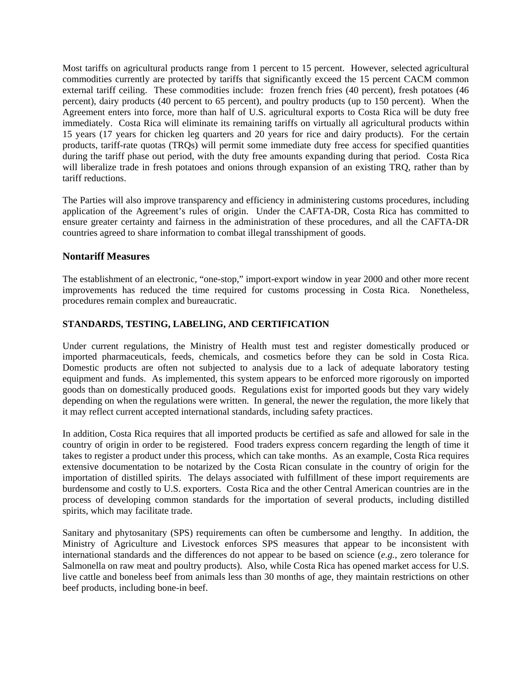Most tariffs on agricultural products range from 1 percent to 15 percent. However, selected agricultural commodities currently are protected by tariffs that significantly exceed the 15 percent CACM common external tariff ceiling. These commodities include: frozen french fries (40 percent), fresh potatoes (46 percent), dairy products (40 percent to 65 percent), and poultry products (up to 150 percent). When the Agreement enters into force, more than half of U.S. agricultural exports to Costa Rica will be duty free immediately. Costa Rica will eliminate its remaining tariffs on virtually all agricultural products within 15 years (17 years for chicken leg quarters and 20 years for rice and dairy products). For the certain products, tariff-rate quotas (TRQs) will permit some immediate duty free access for specified quantities during the tariff phase out period, with the duty free amounts expanding during that period. Costa Rica will liberalize trade in fresh potatoes and onions through expansion of an existing TRQ, rather than by tariff reductions.

The Parties will also improve transparency and efficiency in administering customs procedures, including application of the Agreement's rules of origin. Under the CAFTA-DR, Costa Rica has committed to ensure greater certainty and fairness in the administration of these procedures, and all the CAFTA-DR countries agreed to share information to combat illegal transshipment of goods.

# **Nontariff Measures**

The establishment of an electronic, "one-stop," import-export window in year 2000 and other more recent improvements has reduced the time required for customs processing in Costa Rica. Nonetheless, procedures remain complex and bureaucratic.

#### **STANDARDS, TESTING, LABELING, AND CERTIFICATION**

Under current regulations, the Ministry of Health must test and register domestically produced or imported pharmaceuticals, feeds, chemicals, and cosmetics before they can be sold in Costa Rica. Domestic products are often not subjected to analysis due to a lack of adequate laboratory testing equipment and funds. As implemented, this system appears to be enforced more rigorously on imported goods than on domestically produced goods. Regulations exist for imported goods but they vary widely depending on when the regulations were written. In general, the newer the regulation, the more likely that it may reflect current accepted international standards, including safety practices.

In addition, Costa Rica requires that all imported products be certified as safe and allowed for sale in the country of origin in order to be registered. Food traders express concern regarding the length of time it takes to register a product under this process, which can take months. As an example, Costa Rica requires extensive documentation to be notarized by the Costa Rican consulate in the country of origin for the importation of distilled spirits. The delays associated with fulfillment of these import requirements are burdensome and costly to U.S. exporters. Costa Rica and the other Central American countries are in the process of developing common standards for the importation of several products, including distilled spirits, which may facilitate trade.

Sanitary and phytosanitary (SPS) requirements can often be cumbersome and lengthy. In addition, the Ministry of Agriculture and Livestock enforces SPS measures that appear to be inconsistent with international standards and the differences do not appear to be based on science (*e.g.*, zero tolerance for Salmonella on raw meat and poultry products). Also, while Costa Rica has opened market access for U.S. live cattle and boneless beef from animals less than 30 months of age, they maintain restrictions on other beef products, including bone-in beef.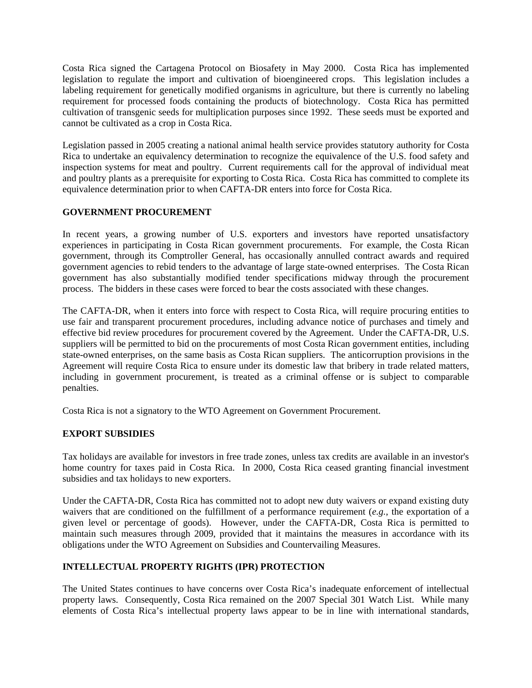Costa Rica signed the Cartagena Protocol on Biosafety in May 2000. Costa Rica has implemented legislation to regulate the import and cultivation of bioengineered crops. This legislation includes a labeling requirement for genetically modified organisms in agriculture, but there is currently no labeling requirement for processed foods containing the products of biotechnology. Costa Rica has permitted cultivation of transgenic seeds for multiplication purposes since 1992. These seeds must be exported and cannot be cultivated as a crop in Costa Rica.

Legislation passed in 2005 creating a national animal health service provides statutory authority for Costa Rica to undertake an equivalency determination to recognize the equivalence of the U.S. food safety and inspection systems for meat and poultry. Current requirements call for the approval of individual meat and poultry plants as a prerequisite for exporting to Costa Rica. Costa Rica has committed to complete its equivalence determination prior to when CAFTA-DR enters into force for Costa Rica.

# **GOVERNMENT PROCUREMENT**

In recent years, a growing number of U.S. exporters and investors have reported unsatisfactory experiences in participating in Costa Rican government procurements. For example, the Costa Rican government, through its Comptroller General, has occasionally annulled contract awards and required government agencies to rebid tenders to the advantage of large state-owned enterprises. The Costa Rican government has also substantially modified tender specifications midway through the procurement process. The bidders in these cases were forced to bear the costs associated with these changes.

The CAFTA-DR, when it enters into force with respect to Costa Rica, will require procuring entities to use fair and transparent procurement procedures, including advance notice of purchases and timely and effective bid review procedures for procurement covered by the Agreement. Under the CAFTA-DR, U.S. suppliers will be permitted to bid on the procurements of most Costa Rican government entities, including state-owned enterprises, on the same basis as Costa Rican suppliers. The anticorruption provisions in the Agreement will require Costa Rica to ensure under its domestic law that bribery in trade related matters, including in government procurement, is treated as a criminal offense or is subject to comparable penalties.

Costa Rica is not a signatory to the WTO Agreement on Government Procurement.

#### **EXPORT SUBSIDIES**

Tax holidays are available for investors in free trade zones, unless tax credits are available in an investor's home country for taxes paid in Costa Rica. In 2000, Costa Rica ceased granting financial investment subsidies and tax holidays to new exporters.

Under the CAFTA-DR, Costa Rica has committed not to adopt new duty waivers or expand existing duty waivers that are conditioned on the fulfillment of a performance requirement (*e.g.*, the exportation of a given level or percentage of goods). However, under the CAFTA-DR, Costa Rica is permitted to maintain such measures through 2009, provided that it maintains the measures in accordance with its obligations under the WTO Agreement on Subsidies and Countervailing Measures.

# **INTELLECTUAL PROPERTY RIGHTS (IPR) PROTECTION**

The United States continues to have concerns over Costa Rica's inadequate enforcement of intellectual property laws. Consequently, Costa Rica remained on the 2007 Special 301 Watch List. While many elements of Costa Rica's intellectual property laws appear to be in line with international standards,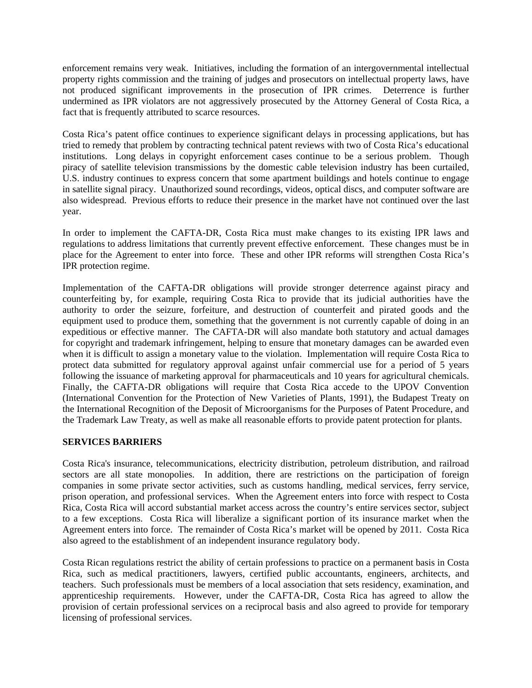enforcement remains very weak. Initiatives, including the formation of an intergovernmental intellectual property rights commission and the training of judges and prosecutors on intellectual property laws, have not produced significant improvements in the prosecution of IPR crimes. Deterrence is further undermined as IPR violators are not aggressively prosecuted by the Attorney General of Costa Rica, a fact that is frequently attributed to scarce resources.

Costa Rica's patent office continues to experience significant delays in processing applications, but has tried to remedy that problem by contracting technical patent reviews with two of Costa Rica's educational institutions. Long delays in copyright enforcement cases continue to be a serious problem. Though piracy of satellite television transmissions by the domestic cable television industry has been curtailed, U.S. industry continues to express concern that some apartment buildings and hotels continue to engage in satellite signal piracy. Unauthorized sound recordings, videos, optical discs, and computer software are also widespread. Previous efforts to reduce their presence in the market have not continued over the last year.

In order to implement the CAFTA-DR, Costa Rica must make changes to its existing IPR laws and regulations to address limitations that currently prevent effective enforcement. These changes must be in place for the Agreement to enter into force. These and other IPR reforms will strengthen Costa Rica's IPR protection regime.

Implementation of the CAFTA-DR obligations will provide stronger deterrence against piracy and counterfeiting by, for example, requiring Costa Rica to provide that its judicial authorities have the authority to order the seizure, forfeiture, and destruction of counterfeit and pirated goods and the equipment used to produce them, something that the government is not currently capable of doing in an expeditious or effective manner. The CAFTA-DR will also mandate both statutory and actual damages for copyright and trademark infringement, helping to ensure that monetary damages can be awarded even when it is difficult to assign a monetary value to the violation. Implementation will require Costa Rica to protect data submitted for regulatory approval against unfair commercial use for a period of 5 years following the issuance of marketing approval for pharmaceuticals and 10 years for agricultural chemicals. Finally, the CAFTA-DR obligations will require that Costa Rica accede to the UPOV Convention (International Convention for the Protection of New Varieties of Plants, 1991), the Budapest Treaty on the International Recognition of the Deposit of Microorganisms for the Purposes of Patent Procedure, and the Trademark Law Treaty, as well as make all reasonable efforts to provide patent protection for plants.

#### **SERVICES BARRIERS**

Costa Rica's insurance, telecommunications, electricity distribution, petroleum distribution, and railroad sectors are all state monopolies. In addition, there are restrictions on the participation of foreign companies in some private sector activities, such as customs handling, medical services, ferry service, prison operation, and professional services. When the Agreement enters into force with respect to Costa Rica, Costa Rica will accord substantial market access across the country's entire services sector, subject to a few exceptions. Costa Rica will liberalize a significant portion of its insurance market when the Agreement enters into force. The remainder of Costa Rica's market will be opened by 2011. Costa Rica also agreed to the establishment of an independent insurance regulatory body.

Costa Rican regulations restrict the ability of certain professions to practice on a permanent basis in Costa Rica, such as medical practitioners, lawyers, certified public accountants, engineers, architects, and teachers. Such professionals must be members of a local association that sets residency, examination, and apprenticeship requirements. However, under the CAFTA-DR, Costa Rica has agreed to allow the provision of certain professional services on a reciprocal basis and also agreed to provide for temporary licensing of professional services.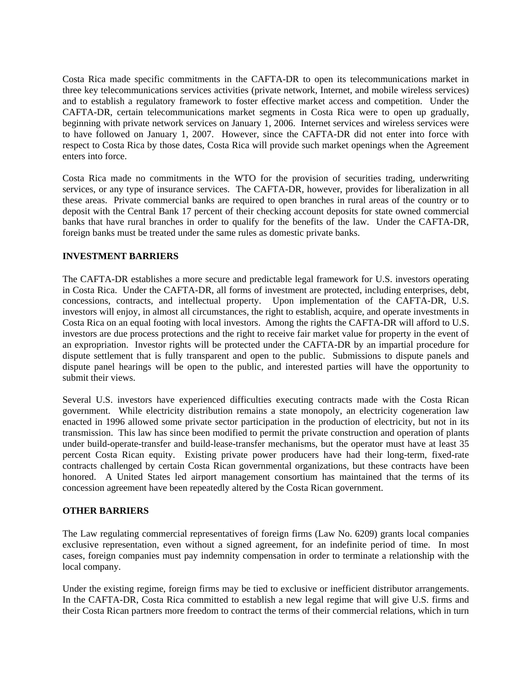Costa Rica made specific commitments in the CAFTA-DR to open its telecommunications market in three key telecommunications services activities (private network, Internet, and mobile wireless services) and to establish a regulatory framework to foster effective market access and competition. Under the CAFTA-DR, certain telecommunications market segments in Costa Rica were to open up gradually, beginning with private network services on January 1, 2006. Internet services and wireless services were to have followed on January 1, 2007. However, since the CAFTA-DR did not enter into force with respect to Costa Rica by those dates, Costa Rica will provide such market openings when the Agreement enters into force.

Costa Rica made no commitments in the WTO for the provision of securities trading, underwriting services, or any type of insurance services. The CAFTA-DR, however, provides for liberalization in all these areas. Private commercial banks are required to open branches in rural areas of the country or to deposit with the Central Bank 17 percent of their checking account deposits for state owned commercial banks that have rural branches in order to qualify for the benefits of the law. Under the CAFTA-DR, foreign banks must be treated under the same rules as domestic private banks.

# **INVESTMENT BARRIERS**

The CAFTA-DR establishes a more secure and predictable legal framework for U.S. investors operating in Costa Rica. Under the CAFTA-DR, all forms of investment are protected, including enterprises, debt, concessions, contracts, and intellectual property. Upon implementation of the CAFTA-DR, U.S. investors will enjoy, in almost all circumstances, the right to establish, acquire, and operate investments in Costa Rica on an equal footing with local investors. Among the rights the CAFTA-DR will afford to U.S. investors are due process protections and the right to receive fair market value for property in the event of an expropriation. Investor rights will be protected under the CAFTA-DR by an impartial procedure for dispute settlement that is fully transparent and open to the public. Submissions to dispute panels and dispute panel hearings will be open to the public, and interested parties will have the opportunity to submit their views.

Several U.S. investors have experienced difficulties executing contracts made with the Costa Rican government. While electricity distribution remains a state monopoly, an electricity cogeneration law enacted in 1996 allowed some private sector participation in the production of electricity, but not in its transmission. This law has since been modified to permit the private construction and operation of plants under build-operate-transfer and build-lease-transfer mechanisms, but the operator must have at least 35 percent Costa Rican equity. Existing private power producers have had their long-term, fixed-rate contracts challenged by certain Costa Rican governmental organizations, but these contracts have been honored. A United States led airport management consortium has maintained that the terms of its concession agreement have been repeatedly altered by the Costa Rican government.

#### **OTHER BARRIERS**

The Law regulating commercial representatives of foreign firms (Law No. 6209) grants local companies exclusive representation, even without a signed agreement, for an indefinite period of time. In most cases, foreign companies must pay indemnity compensation in order to terminate a relationship with the local company.

Under the existing regime, foreign firms may be tied to exclusive or inefficient distributor arrangements. In the CAFTA-DR, Costa Rica committed to establish a new legal regime that will give U.S. firms and their Costa Rican partners more freedom to contract the terms of their commercial relations, which in turn